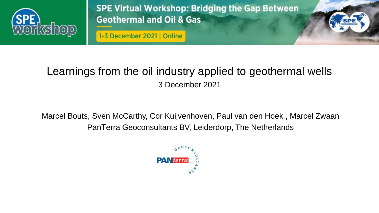

1

1-3 December 2021 | Online

## Learnings from the oil industry applied to geothermal wells 3 December 2021

Marcel Bouts, Sven McCarthy, Cor Kuijvenhoven, Paul van den Hoek , Marcel Zwaan PanTerra Geoconsultants BV, Leiderdorp, The Netherlands

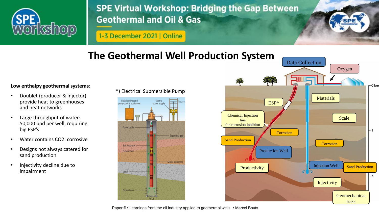

1-3 December 2021 | Online

## **The Geothermal Well Production System**

#### **Low enthalpy geothermal systems**:

- Doublet (producer & Injector) provide heat to greenhouses and heat networks
- Large throughput of water: 50,000 bpd per well, requiring big ESP's
- Water contains CO2: corrosive
- Designs not always catered for sand production
- Injectivity decline due to impairment

\*) Electrical Submersible Pump





2

Paper # • Learnings from the oil industry applied to geothermal wells • Marcel Bouts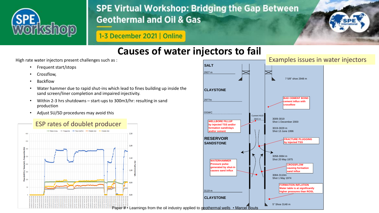

1-3 December 2021 | Online



### **Causes of water injectors to fail**

High rate water injectors present challenges such as :

- Frequent start/stops
- Crossflow,
- Backflow
- Water hammer due to rapid shut-ins which lead to fines building up inside the sand screen/liner completion and impaired injectivity.
- Within 2-3 hrs shutdowns start-ups to 300m3/hr: resulting in sand production
- Adjust SU/SD procedures may avoid this



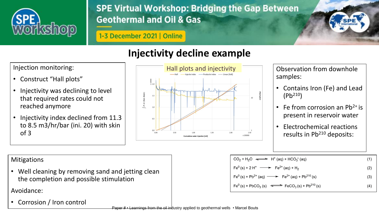

1-3 December 2021 | Online

# **Injectivity decline example**

Injection monitoring:

- Construct "Hall plots"
- Injectivity was declining to level that required rates could not reached anymore
- Injectivity index declined from 11.3 to 8.5 m3/hr/bar (ini. 20) with skin of 3



samples:

4

- Contains Iron (Fe) and Lead (Pb<sup>210</sup>)
- Fe from corrosion an  $Pb^{2+}$  is present in reservoir water
- Electrochemical reactions results in Pb<sup>210</sup> deposits:

### **Mitigations**

• Well cleaning by removing sand and jetting clean the completion and possible stimulation

Avoidance:

• Corrosion / Iron control

$$
CO_{2} + H_{2}O \iff H^{+}(aq) + HCO_{3}^{-}(aq)
$$
\n
$$
Fe^{0}(s) + 2H^{+} \longrightarrow Fe^{2+}(aq) + H_{2}
$$
\n
$$
Fe^{0}(s) + Pb^{2+}(aq) \longrightarrow Fe^{2+}(aq) + Pb^{210}(s)
$$
\n
$$
Fe^{0}(s) + PbCO_{3}(s) \longrightarrow FeCO_{3}(s) + Pb^{210}(s)
$$
\n(4)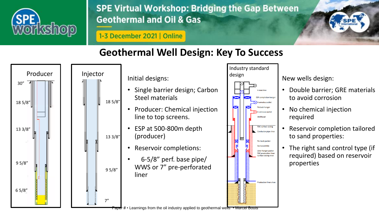

5

### 1-3 December 2021 | Online

## **Geothermal Well Design: Key To Success**